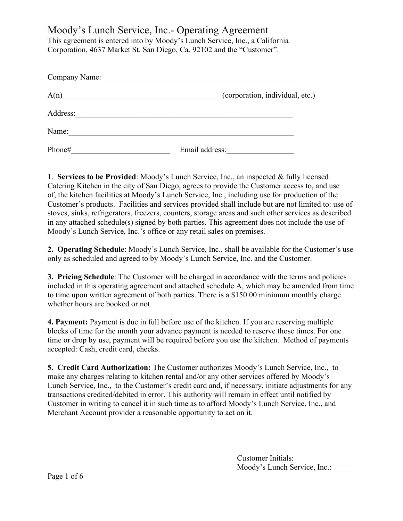Moody's Lunch Service, Inc.- Operating Agreement

This agreement is entered into by Moody's Lunch Service, Inc., a California Corporation, 4637 Market St. San Diego, Ca. 92102 and the "Customer".

| Company Name: |                                 |
|---------------|---------------------------------|
| A(n)          | (corporation, individual, etc.) |
| Address:      |                                 |
| Name:         |                                 |
| Phone#        | Email address:                  |

1. **Services to be Provided**: Moody's Lunch Service, Inc., an inspected & fully licensed Catering Kitchen in the city of San Diego, agrees to provide the Customer access to, and use of, the kitchen facilities at Moody's Lunch Service, Inc., including use for production of the Customer's products. Facilities and services provided shall include but are not limited to: use of stoves, sinks, refrigerators, freezers, counters, storage areas and such other services as described in any attached schedule(s) signed by both parties. This agreement does not include the use of Moody's Lunch Service, Inc.'s office or any retail sales on premises.

**2. Operating Schedule**: Moody's Lunch Service, Inc., shall be available for the Customer's use only as scheduled and agreed to by Moody's Lunch Service, Inc. and the Customer.

**3. Pricing Schedule**: The Customer will be charged in accordance with the terms and policies included in this operating agreement and attached schedule A, which may be amended from time to time upon written agreement of both parties. There is a \$150.00 minimum monthly charge whether hours are booked or not.

**4. Payment:** Payment is due in full before use of the kitchen. If you are reserving multiple blocks of time for the month your advance payment is needed to reserve those times. For one time or drop by use, payment will be required before you use the kitchen. Method of payments accepted: Cash, credit card, checks.

**5. Credit Card Authorization:** The Customer authorizes Moody's Lunch Service, Inc., to make any charges relating to kitchen rental and/or any other services offered by Moody's Lunch Service, Inc., to the Customer's credit card and, if necessary, initiate adjustments for any transactions credited/debited in error. This authority will remain in effect until notified by Customer in writing to cancel it in such time as to afford Moody's Lunch Service, Inc., and Merchant Account provider a reasonable opportunity to act on it.

> Customer Initials: \_\_\_\_\_\_ Moody's Lunch Service, Inc.: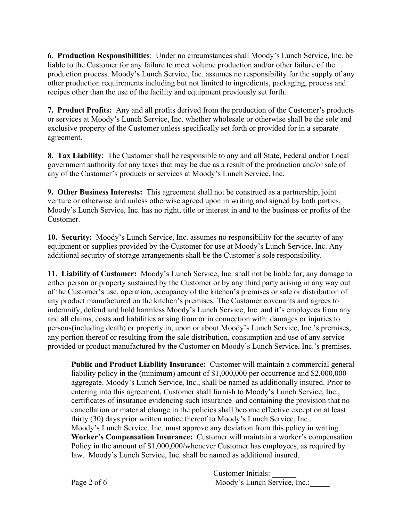**6**. **Production Responsibilities**: Under no circumstances shall Moody's Lunch Service, Inc. be liable to the Customer for any failure to meet volume production and/or other failure of the production process. Moody's Lunch Service, Inc. assumes no responsibility for the supply of any other production requirements including but not limited to ingredients, packaging, process and recipes other than the use of the facility and equipment previously set forth.

**7. Product Profits:** Any and all profits derived from the production of the Customer's products or services at Moody's Lunch Service, Inc. whether wholesale or otherwise shall be the sole and exclusive property of the Customer unless specifically set forth or provided for in a separate agreement.

**8. Tax Liability**: The Customer shall be responsible to any and all State, Federal and/or Local government authority for any taxes that may be due as a result of the production and/or sale of any of the Customer's products or services at Moody's Lunch Service, Inc.

**9. Other Business Interests:** This agreement shall not be construed as a partnership, joint venture or otherwise and unless otherwise agreed upon in writing and signed by both parties, Moody's Lunch Service, Inc. has no right, title or interest in and to the business or profits of the Customer.

**10. Security:** Moody's Lunch Service, Inc. assumes no responsibility for the security of any equipment or supplies provided by the Customer for use at Moody's Lunch Service, Inc. Any additional security of storage arrangements shall be the Customer's sole responsibility.

**11. Liability of Customer:** Moody's Lunch Service, Inc. shall not be liable for; any damage to either person or property sustained by the Customer or by any third party arising in any way out of the Customer's use, operation, occupancy of the kitchen's premises or sale or distribution of any product manufactured on the kitchen's premises. The Customer covenants and agrees to indemnify, defend and hold harmless Moody's Lunch Service, Inc. and it's employees from any and all claims, costs and liabilities arising from or in connection with: damages or injuries to persons(including death) or property in, upon or about Moody's Lunch Service, Inc.'s premises, any portion thereof or resulting from the sale distribution, consumption and use of any service provided or product manufactured by the Customer on Moody's Lunch Service, Inc.'s premises.

**Public and Product Liability Insurance:** Customer will maintain a commercial general liability policy in the (minimum) amount of \$1,000,000 per occurrence and \$2,000,000 aggregate. Moody's Lunch Service, Inc., shall be named as additionally insured. Prior to entering into this agreement, Customer shall furnish to Moody's Lunch Service, Inc., certificates of insurance evidencing such insurance and containing the provision that no cancellation or material change in the policies shall become effective except on at least thirty (30) days prior written notice thereof to Moody's Lunch Service, Inc.. Moody's Lunch Service, Inc. must approve any deviation from this policy in writing. **Worker's Compensation Insurance:** Customer will maintain a worker's compensation Policy in the amount of \$1,000,000/whenever Customer has employees, as required by law. Moody's Lunch Service, Inc. shall be named as additional insured.

Customer Initials: \_\_\_\_\_\_ Page 2 of 6 Moody's Lunch Service, Inc.: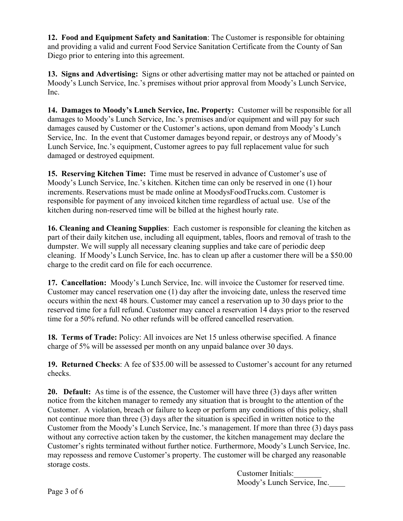**12. Food and Equipment Safety and Sanitation**: The Customer is responsible for obtaining and providing a valid and current Food Service Sanitation Certificate from the County of San Diego prior to entering into this agreement.

**13. Signs and Advertising:** Signs or other advertising matter may not be attached or painted on Moody's Lunch Service, Inc.'s premises without prior approval from Moody's Lunch Service, Inc.

**14. Damages to Moody's Lunch Service, Inc. Property:** Customer will be responsible for all damages to Moody's Lunch Service, Inc.'s premises and/or equipment and will pay for such damages caused by Customer or the Customer's actions, upon demand from Moody's Lunch Service, Inc. In the event that Customer damages beyond repair, or destroys any of Moody's Lunch Service, Inc.'s equipment, Customer agrees to pay full replacement value for such damaged or destroyed equipment.

**15. Reserving Kitchen Time:** Time must be reserved in advance of Customer's use of Moody's Lunch Service, Inc.'s kitchen. Kitchen time can only be reserved in one (1) hour increments. Reservations must be made online at MoodysFoodTrucks.com. Customer is responsible for payment of any invoiced kitchen time regardless of actual use. Use of the kitchen during non-reserved time will be billed at the highest hourly rate.

**16. Cleaning and Cleaning Supplies**: Each customer is responsible for cleaning the kitchen as part of their daily kitchen use, including all equipment, tables, floors and removal of trash to the dumpster. We will supply all necessary cleaning supplies and take care of periodic deep cleaning. If Moody's Lunch Service, Inc. has to clean up after a customer there will be a \$50.00 charge to the credit card on file for each occurrence.

**17. Cancellation:** Moody's Lunch Service, Inc. will invoice the Customer for reserved time. Customer may cancel reservation one (1) day after the invoicing date, unless the reserved time occurs within the next 48 hours. Customer may cancel a reservation up to 30 days prior to the reserved time for a full refund. Customer may cancel a reservation 14 days prior to the reserved time for a 50% refund. No other refunds will be offered cancelled reservation.

**18. Terms of Trade:** Policy: All invoices are Net 15 unless otherwise specified. A finance charge of 5% will be assessed per month on any unpaid balance over 30 days.

**19. Returned Checks**: A fee of \$35.00 will be assessed to Customer's account for any returned checks.

**20. Default:** As time is of the essence, the Customer will have three (3) days after written notice from the kitchen manager to remedy any situation that is brought to the attention of the Customer. A violation, breach or failure to keep or perform any conditions of this policy, shall not continue more than three (3) days after the situation is specified in written notice to the Customer from the Moody's Lunch Service, Inc.'s management. If more than three (3) days pass without any corrective action taken by the customer, the kitchen management may declare the Customer's rights terminated without further notice. Furthermore, Moody's Lunch Service, Inc. may repossess and remove Customer's property. The customer will be charged any reasonable storage costs.

> Customer Initials: Moody's Lunch Service, Inc.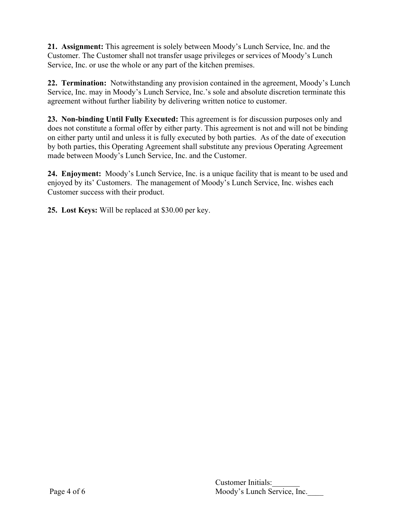**21. Assignment:** This agreement is solely between Moody's Lunch Service, Inc. and the Customer. The Customer shall not transfer usage privileges or services of Moody's Lunch Service, Inc. or use the whole or any part of the kitchen premises.

**22. Termination:** Notwithstanding any provision contained in the agreement, Moody's Lunch Service, Inc. may in Moody's Lunch Service, Inc.'s sole and absolute discretion terminate this agreement without further liability by delivering written notice to customer.

**23. Non-binding Until Fully Executed:** This agreement is for discussion purposes only and does not constitute a formal offer by either party. This agreement is not and will not be binding on either party until and unless it is fully executed by both parties. As of the date of execution by both parties, this Operating Agreement shall substitute any previous Operating Agreement made between Moody's Lunch Service, Inc. and the Customer.

**24. Enjoyment:** Moody's Lunch Service, Inc. is a unique facility that is meant to be used and enjoyed by its' Customers. The management of Moody's Lunch Service, Inc. wishes each Customer success with their product.

**25. Lost Keys:** Will be replaced at \$30.00 per key.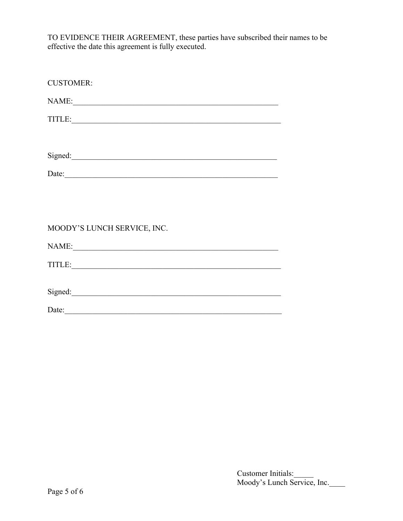TO EVIDENCE THEIR AGREEMENT, these parties have subscribed their names to be effective the date this agreement is fully executed.

| <b>CUSTOMER:</b>                                                                                                                                                                                                                   |
|------------------------------------------------------------------------------------------------------------------------------------------------------------------------------------------------------------------------------------|
| NAME:                                                                                                                                                                                                                              |
|                                                                                                                                                                                                                                    |
|                                                                                                                                                                                                                                    |
| Signed:                                                                                                                                                                                                                            |
| Date: <u>contract</u> contract the contract of the contract of the contract of the contract of the contract of the contract of the contract of the contract of the contract of the contract of the contract of the contract of the |
|                                                                                                                                                                                                                                    |
|                                                                                                                                                                                                                                    |
| MOODY'S LUNCH SERVICE, INC.                                                                                                                                                                                                        |
| NAME:                                                                                                                                                                                                                              |
| TITLE:                                                                                                                                                                                                                             |
|                                                                                                                                                                                                                                    |
|                                                                                                                                                                                                                                    |
| Date:                                                                                                                                                                                                                              |

Customer Initials:\_\_\_\_\_ Moody's Lunch Service, Inc.